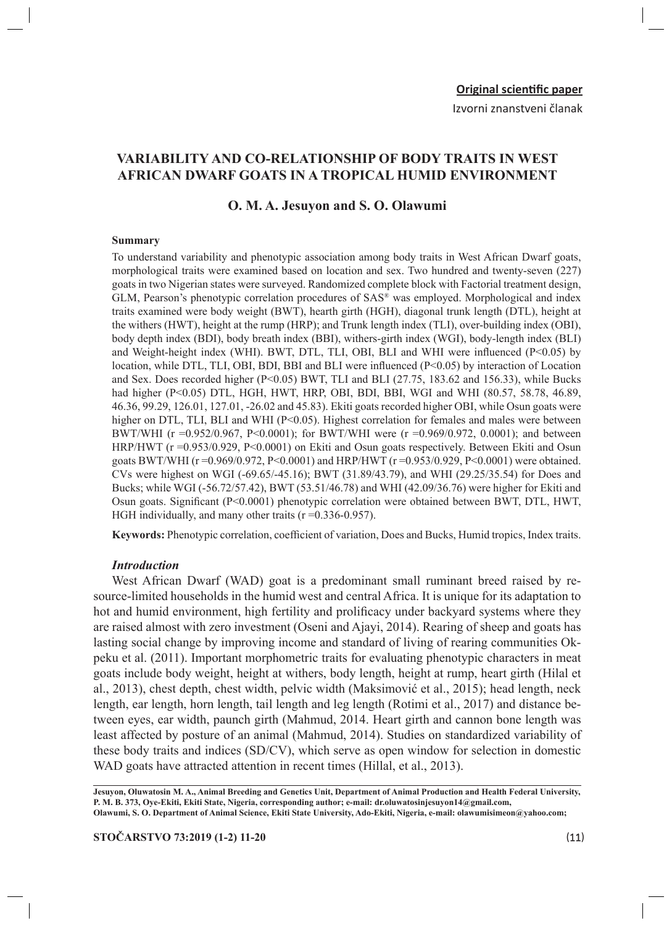Izvorni znanstveni članak

# **VARIABILITY AND CO-RELATIONSHIP OF BODY TRAITS IN WEST AFRICAN DWARF GOATS IN A TROPICAL HUMID ENVIRONMENT**

### **O. M. A. Jesuyon and S. O. Olawumi**

#### **Summary**

To understand variability and phenotypic association among body traits in West African Dwarf goats, morphological traits were examined based on location and sex. Two hundred and twenty-seven (227) goats in two Nigerian states were surveyed. Randomized complete block with Factorial treatment design, GLM, Pearson's phenotypic correlation procedures of SAS® was employed. Morphological and index traits examined were body weight (BWT), hearth girth (HGH), diagonal trunk length (DTL), height at the withers (HWT), height at the rump (HRP); and Trunk length index (TLI), over-building index (OBI), body depth index (BDI), body breath index (BBI), withers-girth index (WGI), body-length index (BLI) and Weight-height index (WHI). BWT, DTL, TLI, OBI, BLI and WHI were influenced (P<0.05) by location, while DTL, TLI, OBI, BDI, BBI and BLI were influenced (P<0.05) by interaction of Location and Sex. Does recorded higher ( $P<0.05$ ) BWT, TLI and BLI (27.75, 183.62 and 156.33), while Bucks had higher (P<0.05) DTL, HGH, HWT, HRP, OBI, BDI, BBI, WGI and WHI (80.57, 58.78, 46.89, 46.36, 99.29, 126.01, 127.01, -26.02 and 45.83). Ekiti goats recorded higher OBI, while Osun goats were higher on DTL, TLI, BLI and WHI (P<0.05). Highest correlation for females and males were between BWT/WHI (r =0.952/0.967, P<0.0001); for BWT/WHI were (r =0.969/0.972, 0.0001); and between HRP/HWT (r =0.953/0.929, P<0.0001) on Ekiti and Osun goats respectively. Between Ekiti and Osun goats BWT/WHI (r =0.969/0.972, P<0.0001) and HRP/HWT (r =0.953/0.929, P<0.0001) were obtained. CVs were highest on WGI (-69.65/-45.16); BWT (31.89/43.79), and WHI (29.25/35.54) for Does and Bucks; while WGI (-56.72/57.42), BWT (53.51/46.78) and WHI (42.09/36.76) were higher for Ekiti and Osun goats. Significant (P<0.0001) phenotypic correlation were obtained between BWT, DTL, HWT, HGH individually, and many other traits (r = 0.336-0.957).

**Keywords:** Phenotypic correlation, coefficient of variation, Does and Bucks, Humid tropics, Index traits.

#### *Introduction*

West African Dwarf (WAD) goat is a predominant small ruminant breed raised by resource-limited households in the humid west and central Africa. It is unique for its adaptation to hot and humid environment, high fertility and prolificacy under backyard systems where they are raised almost with zero investment (Oseni and Ajayi, 2014). Rearing of sheep and goats has lasting social change by improving income and standard of living of rearing communities Okpeku et al. (2011). Important morphometric traits for evaluating phenotypic characters in meat goats include body weight, height at withers, body length, height at rump, heart girth (Hilal et al., 2013), chest depth, chest width, pelvic width (Maksimović et al., 2015); head length, neck length, ear length, horn length, tail length and leg length (Rotimi et al., 2017) and distance between eyes, ear width, paunch girth (Mahmud, 2014. Heart girth and cannon bone length was least affected by posture of an animal (Mahmud, 2014). Studies on standardized variability of these body traits and indices (SD/CV), which serve as open window for selection in domestic WAD goats have attracted attention in recent times (Hillal, et al., 2013).

**Jesuyon, Oluwatosin M. A., Animal Breeding and Genetics Unit, Department of Animal Production and Health Federal University, P. M. B. 373, Oye-Ekiti, Ekiti State, Nigeria, corresponding author; e-mail: dr.oluwatosinjesuyon14@gmail.com, Olawumi, S. O. Department of Animal Science, Ekiti State University, Ado-Ekiti, Nigeria, e-mail: olawumisimeon@yahoo.com;**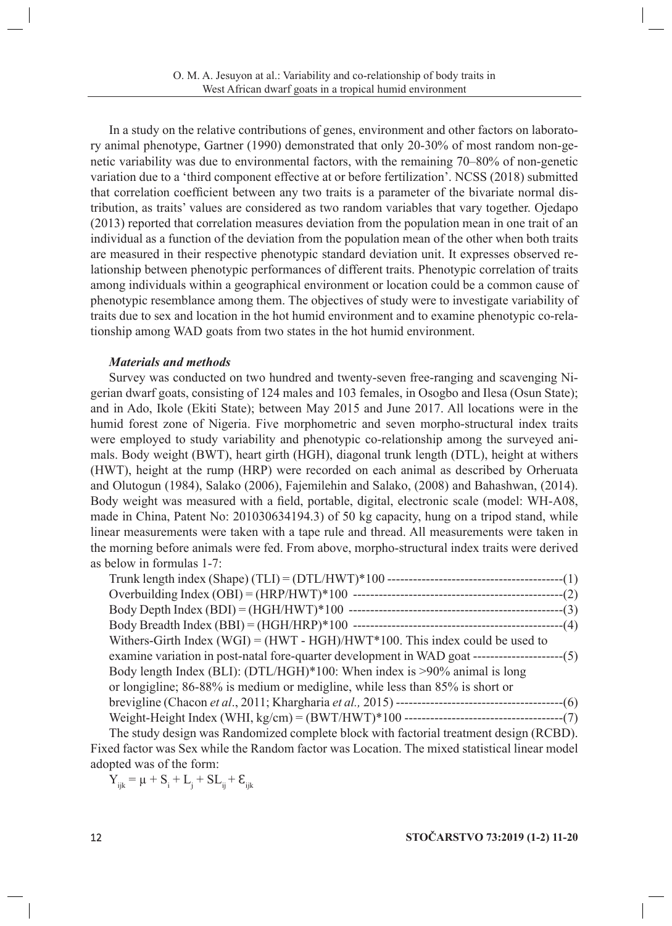In a study on the relative contributions of genes, environment and other factors on laboratory animal phenotype, Gartner (1990) demonstrated that only 20-30% of most random non-genetic variability was due to environmental factors, with the remaining 70–80% of non-genetic variation due to a 'third component effective at or before fertilization'. NCSS (2018) submitted that correlation coefficient between any two traits is a parameter of the bivariate normal distribution, as traits' values are considered as two random variables that vary together. Ojedapo (2013) reported that correlation measures deviation from the population mean in one trait of an individual as a function of the deviation from the population mean of the other when both traits are measured in their respective phenotypic standard deviation unit. It expresses observed relationship between phenotypic performances of different traits. Phenotypic correlation of traits among individuals within a geographical environment or location could be a common cause of phenotypic resemblance among them. The objectives of study were to investigate variability of traits due to sex and location in the hot humid environment and to examine phenotypic co-relationship among WAD goats from two states in the hot humid environment.

### *Materials and methods*

Survey was conducted on two hundred and twenty-seven free-ranging and scavenging Nigerian dwarf goats, consisting of 124 males and 103 females, in Osogbo and Ilesa (Osun State); and in Ado, Ikole (Ekiti State); between May 2015 and June 2017. All locations were in the humid forest zone of Nigeria. Five morphometric and seven morpho-structural index traits were employed to study variability and phenotypic co-relationship among the surveyed animals. Body weight (BWT), heart girth (HGH), diagonal trunk length (DTL), height at withers (HWT), height at the rump (HRP) were recorded on each animal as described by Orheruata and Olutogun (1984), Salako (2006), Fajemilehin and Salako, (2008) and Bahashwan, (2014). Body weight was measured with a field, portable, digital, electronic scale (model: WH-A08, made in China, Patent No: 201030634194.3) of 50 kg capacity, hung on a tripod stand, while linear measurements were taken with a tape rule and thread. All measurements were taken in the morning before animals were fed. From above, morpho-structural index traits were derived as below in formulas 1-7:

| Withers-Girth Index (WGI) = $(HWT - HGH)/HWT*100$ . This index could be used to              |  |
|----------------------------------------------------------------------------------------------|--|
|                                                                                              |  |
| Body length Index (BLI): (DTL/HGH)*100: When index is >90% animal is long                    |  |
| or longigline; 86-88% is medium or medigline, while less than 85% is short or                |  |
|                                                                                              |  |
|                                                                                              |  |
| The study degion was <b>Pandomized complete block with factorial treatment degion (PCBD)</b> |  |

The study design was Randomized complete block with factorial treatment design (RCBD). Fixed factor was Sex while the Random factor was Location. The mixed statistical linear model adopted was of the form:

 $Y_{ijk} = \mu + S_i + L_j + SL_{ij} + E_{ijk}$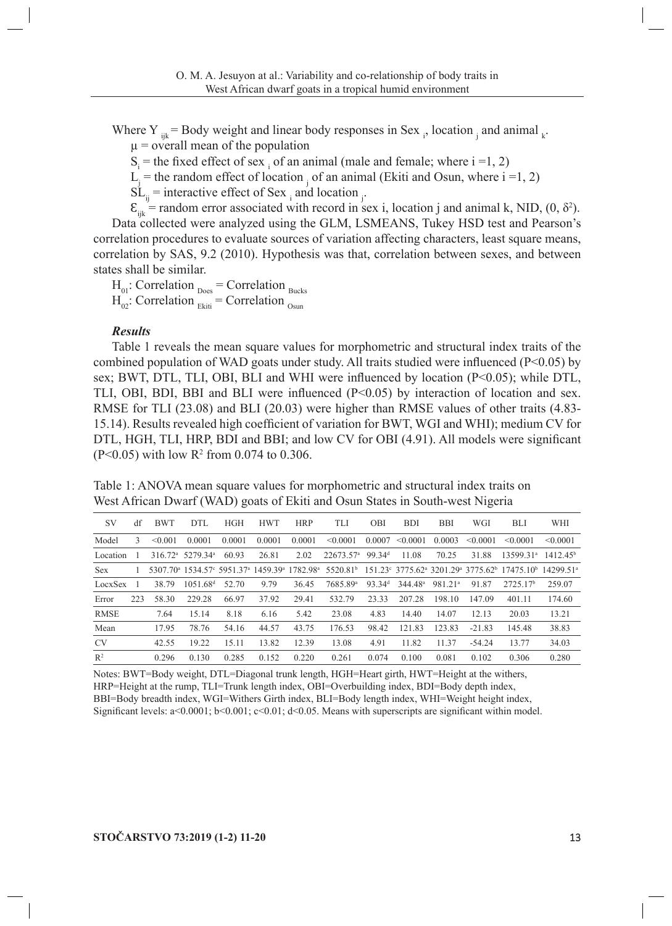Where Y  $_{ijk}$  = Body weight and linear body responses in Sex  $_{i}$ , location  $_{j}$  and animal  $_{k}$ .  $\mu$  = overall mean of the population

 $S_i$  = the fixed effect of sex i of an animal (male and female; where i =1, 2)

 $L_j$  = the random effect of location  $\bar{j}$  of an animal (Ekiti and Osun, where i =1, 2)

 $SL_{ij}$  = interactive effect of Sex i and location  $j$ .

 $\mathcal{E}_{ijk}$  = random error associated with record in sex i, location j and animal k, NID, (0,  $\delta^2$ ). Data collected were analyzed using the GLM, LSMEANS, Tukey HSD test and Pearson's correlation procedures to evaluate sources of variation affecting characters, least square means, correlation by SAS, 9.2 (2010). Hypothesis was that, correlation between sexes, and between states shall be similar.

 $H_{01}$ : Correlation  $D_{\text{Does}} =$  Correlation  $B_{\text{ucks}}$  $H_{02}$ : Correlation  $_{Ekiti}$  = Correlation  $_{Osun}$ 

### *Results*

Table 1 reveals the mean square values for morphometric and structural index traits of the combined population of WAD goats under study. All traits studied were influenced (P<0.05) by sex; BWT, DTL, TLI, OBI, BLI and WHI were influenced by location (P<0.05); while DTL, TLI, OBI, BDI, BBI and BLI were influenced (P<0.05) by interaction of location and sex. RMSE for TLI (23.08) and BLI (20.03) were higher than RMSE values of other traits (4.83- 15.14). Results revealed high coefficient of variation for BWT, WGI and WHI); medium CV for DTL, HGH, TLI, HRP, BDI and BBI; and low CV for OBI (4.91). All models were significant  $(P<0.05)$  with low R<sup>2</sup> from 0.074 to 0.306.

Table 1: ANOVA mean square values for morphometric and structural index traits on West African Dwarf (WAD) goats of Ekiti and Osun States in South-west Nigeria

| <b>SV</b>   | df  | <b>BWT</b>   | DTL                                      | <b>HGH</b> | <b>HWT</b> | <b>HRP</b> | TLI                     | <b>OBI</b>         | <b>BDI</b>          | <b>BBI</b>          | WGI           | BLI                                                                                                                                                                                                                                  | WHI                  |
|-------------|-----|--------------|------------------------------------------|------------|------------|------------|-------------------------|--------------------|---------------------|---------------------|---------------|--------------------------------------------------------------------------------------------------------------------------------------------------------------------------------------------------------------------------------------|----------------------|
| Model       | 3   | $\leq 0.001$ | 0.0001                                   | 0.0001     | 0.0001     | 0.0001     | < 0.0001                | 0.0007             | < 0.0001            | 0.0003              | $\leq 0.0001$ | $\leq 0.0001$                                                                                                                                                                                                                        | < 0.0001             |
| Location    |     |              | 316.72 <sup>a</sup> 5279.34 <sup>a</sup> | 60.93      | 26.81      | 2.02       | $22673.57$ <sup>a</sup> | 99.34 <sup>d</sup> | 11.08               | 70.25               | 31.88         | 13599.31 <sup>a</sup>                                                                                                                                                                                                                | 1412.45 <sup>b</sup> |
| <b>Sex</b>  |     |              |                                          |            |            |            |                         |                    |                     |                     |               | 5307.70 <sup>a</sup> 1534.57° 5951.37 <sup>a</sup> 1459.39 <sup>a</sup> 1782.98 <sup>a</sup> 5520.81 <sup>b</sup> 151.23° 3775.62 <sup>a</sup> 3201.29 <sup>a</sup> 3775.62 <sup>b</sup> 17475.10 <sup>b</sup> 14299.51 <sup>a</sup> |                      |
| LocxSex     |     | 38.79        | 1051.68 <sup>d</sup>                     | 52.70      | 9.79       | 36.45      | 7685.89 <sup>a</sup>    | 93.34 <sup>d</sup> | 344.48 <sup>a</sup> | 981.21 <sup>a</sup> | 91.87         | 2725.17 <sup>b</sup>                                                                                                                                                                                                                 | 259.07               |
| Error       | 223 | 58.30        | 229.28                                   | 66.97      | 37.92      | 29.41      | 532.79                  | 23.33              | 207.28              | 198.10              | 147.09        | 401.11                                                                                                                                                                                                                               | 174.60               |
| <b>RMSE</b> |     | 7.64         | 15.14                                    | 8.18       | 6.16       | 5.42       | 23.08                   | 4.83               | 14.40               | 14.07               | 12.13         | 20.03                                                                                                                                                                                                                                | 13.21                |
| Mean        |     | 17.95        | 78.76                                    | 54.16      | 44.57      | 43.75      | 176.53                  | 98.42              | 121.83              | 123.83              | $-21.83$      | 145.48                                                                                                                                                                                                                               | 38.83                |
| <b>CV</b>   |     | 42.55        | 19.22                                    | 15.11      | 13.82      | 12.39      | 13.08                   | 4.91               | 11.82               | 11.37               | $-54.24$      | 13.77                                                                                                                                                                                                                                | 34.03                |
| $R^2$       |     | 0.296        | 0.130                                    | 0.285      | 0.152      | 0.220      | 0.261                   | 0.074              | 0.100               | 0.081               | 0.102         | 0.306                                                                                                                                                                                                                                | 0.280                |

Notes: BWT=Body weight, DTL=Diagonal trunk length, HGH=Heart girth, HWT=Height at the withers, HRP=Height at the rump, TLI=Trunk length index, OBI=Overbuilding index, BDI=Body depth index, BBI=Body breadth index, WGI=Withers Girth index, BLI=Body length index, WHI=Weight height index, Significant levels: a<0.0001; b<0.001; c<0.01; d<0.05. Means with superscripts are significant within model.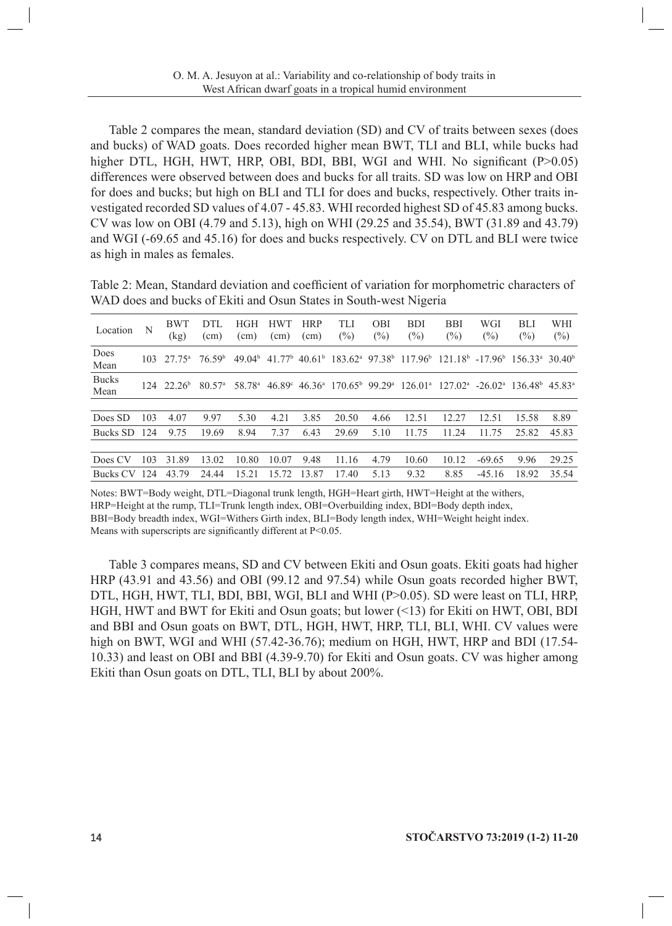Table 2 compares the mean, standard deviation (SD) and CV of traits between sexes (does and bucks) of WAD goats. Does recorded higher mean BWT, TLI and BLI, while bucks had higher DTL, HGH, HWT, HRP, OBI, BDI, BBI, WGI and WHI. No significant (P>0.05) differences were observed between does and bucks for all traits. SD was low on HRP and OBI for does and bucks; but high on BLI and TLI for does and bucks, respectively. Other traits investigated recorded SD values of 4.07 - 45.83. WHI recorded highest SD of 45.83 among bucks. CV was low on OBI (4.79 and 5.13), high on WHI (29.25 and 35.54), BWT (31.89 and 43.79) and WGI (-69.65 and 45.16) for does and bucks respectively. CV on DTL and BLI were twice as high in males as females.

Table 2: Mean, Standard deviation and coefficient of variation for morphometric characters of WAD does and bucks of Ekiti and Osun States in South-west Nigeria

| Location             | N   | <b>BWT</b><br>(kg)        | DTL<br>(cm)          | <b>HGH</b><br>(cm) | HWT<br>(cm)        | <b>HRP</b><br>$\text{cm}$ | TLI<br>$(\%)$                                                          | <b>OBI</b><br>$(\%)$ | <b>BDI</b><br>$(\%)$ | <b>BBI</b><br>$(\%)$                                                                                                                               | WGI<br>$(\%)$ | BLI<br>(%) | WHI<br>$(\%)$   |
|----------------------|-----|---------------------------|----------------------|--------------------|--------------------|---------------------------|------------------------------------------------------------------------|----------------------|----------------------|----------------------------------------------------------------------------------------------------------------------------------------------------|---------------|------------|-----------------|
| Does<br>Mean         | 103 | 27 75 <sup>a</sup>        | 76.59 <sup>b</sup>   | 49.04 <sup>b</sup> | 41.77 <sup>b</sup> |                           |                                                                        |                      |                      | $40.61b$ 183.62 <sup>a</sup> 97.38 <sup>b</sup> 117.96 <sup>b</sup> 121.18 <sup>b</sup> -17.96 <sup>b</sup> 156.33 <sup>a</sup> 30.40 <sup>b</sup> |               |            |                 |
| <b>Bucks</b><br>Mean |     | $124 \quad 22.26^{\circ}$ | $80.57$ <sup>a</sup> | 58.78 <sup>a</sup> |                    |                           | $46.89^{\circ}$ $46.36^{\circ}$ 170.65 <sup>b</sup> 99.29 <sup>a</sup> |                      |                      | $126.01^{\text{a}}$ $127.02^{\text{a}}$ $-26.02^{\text{a}}$ $136.48^{\text{b}}$                                                                    |               |            | $45.83^{\circ}$ |
|                      |     |                           |                      |                    |                    |                           |                                                                        |                      |                      |                                                                                                                                                    |               |            |                 |
| Does SD              | 103 | 4.07                      | 9.97                 | 5.30               | 4.21               | 3.85                      | 20.50                                                                  | 4.66                 | 12.51                | 12.27                                                                                                                                              | 12.51         | 15.58      | 8.89            |
| Bucks SD             | 124 | 9.75                      | 19.69                | 8.94               | 7.37               | 6.43                      | 29.69                                                                  | 5.10                 | 11.75                | 11.24                                                                                                                                              | 11.75         | 25.82      | 45.83           |
|                      |     |                           |                      |                    |                    |                           |                                                                        |                      |                      |                                                                                                                                                    |               |            |                 |
| Does CV              | 103 | 31.89                     | 13.02                | 10.80              | 10.07              | 9.48                      | 11.16                                                                  | 4.79                 | 10.60                | 10.12                                                                                                                                              | $-69.65$      | 9.96       | 29.25           |
| <b>Bucks CV</b>      | 124 | 43.79                     | 24.44                | 15.21              | 15.<br>72          | 13.87                     | 17.40                                                                  | 5.13                 | 9.32                 | 8.85                                                                                                                                               | $-45.16$      | 18.92      | 35.54           |

Notes: BWT=Body weight, DTL=Diagonal trunk length, HGH=Heart girth, HWT=Height at the withers, HRP=Height at the rump, TLI=Trunk length index, OBI=Overbuilding index, BDI=Body depth index, BBI=Body breadth index, WGI=Withers Girth index, BLI=Body length index, WHI=Weight height index. Means with superscripts are significantly different at  $P<0.05$ .

Table 3 compares means, SD and CV between Ekiti and Osun goats. Ekiti goats had higher HRP (43.91 and 43.56) and OBI (99.12 and 97.54) while Osun goats recorded higher BWT, DTL, HGH, HWT, TLI, BDI, BBI, WGI, BLI and WHI (P>0.05). SD were least on TLI, HRP, HGH, HWT and BWT for Ekiti and Osun goats; but lower (<13) for Ekiti on HWT, OBI, BDI and BBI and Osun goats on BWT, DTL, HGH, HWT, HRP, TLI, BLI, WHI. CV values were high on BWT, WGI and WHI (57.42-36.76); medium on HGH, HWT, HRP and BDI (17.54-10.33) and least on OBI and BBI (4.39-9.70) for Ekiti and Osun goats. CV was higher among Ekiti than Osun goats on DTL, TLI, BLI by about 200%.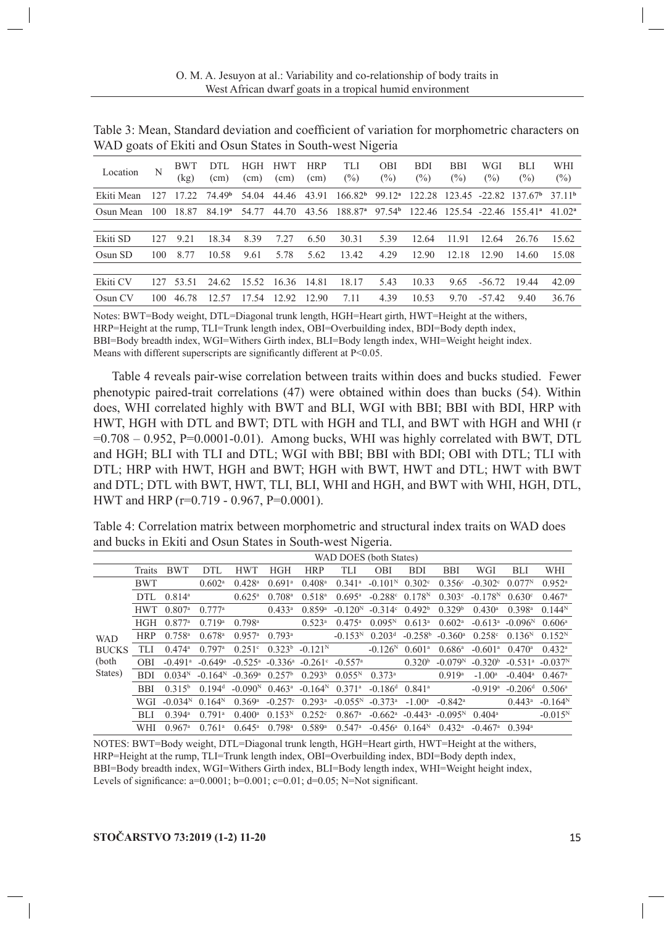| Location   | N   | <b>BWT</b><br>(kg) | DTL<br>(cm)        | HGH<br>(cm)       | <b>HWT</b><br>(cm) | <b>HRP</b><br>(cm) | TLI<br>$(\%)$                                                                                            | <b>OBI</b><br>$(\% )$ | <b>BDI</b><br>$(\%)$ | <b>BBI</b><br>$(\%)$ | WGI<br>$(\%)$ | <b>BLI</b><br>$(\%)$                                                              | WHI<br>$(\%)$     |
|------------|-----|--------------------|--------------------|-------------------|--------------------|--------------------|----------------------------------------------------------------------------------------------------------|-----------------------|----------------------|----------------------|---------------|-----------------------------------------------------------------------------------|-------------------|
| Ekiti Mean | 127 | 17.22              | 74.49 <sup>b</sup> | 54.04             | 44.46              | 43.91              |                                                                                                          |                       |                      |                      |               | $166.82^{\mathrm{b}}$ 99.12 <sup>a</sup> 122.28 123.45 -22.82 137.67 <sup>b</sup> | 3711 <sup>b</sup> |
| Osun Mean  | 100 | 18.87              | 84.19 <sup>a</sup> | 54.77             | 44.70              |                    | 43.56 188.87 <sup>a</sup> 97.54 <sup>b</sup> 122.46 125.54 -22.46 155.41 <sup>a</sup> 41.02 <sup>a</sup> |                       |                      |                      |               |                                                                                   |                   |
|            |     |                    |                    |                   |                    |                    |                                                                                                          |                       |                      |                      |               |                                                                                   |                   |
| Ekiti SD   | 127 | 9.21               | 18.34              | 8.39              | 7.27               | 6.50               | 30.31                                                                                                    | 5.39                  | 12.64                | 11.91                | 12.64         | 26.76                                                                             | 15.62             |
| Osun SD    | 100 | 8.77               | 10.58              | 9.61              | 5.78               | 5.62               | 13.42                                                                                                    | 4.29                  | 12.90                | 12.18                | 12.90         | 14.60                                                                             | 15.08             |
|            |     |                    |                    |                   |                    |                    |                                                                                                          |                       |                      |                      |               |                                                                                   |                   |
| Ekiti CV   | 127 | 53.51              | 24.62              | 15.52 16.36 14.81 |                    |                    | 18.17                                                                                                    | 5.43                  | 10.33                | 9.65                 | $-56.72$      | 19.44                                                                             | 42.09             |
| Osun CV    | 100 | 46.78              | 12.57              | 17.54             | 12.92              | 12.90              | 7.11                                                                                                     | 4.39                  | 10.53                | 9.70                 | $-57.42$      | 9.40                                                                              | 36.76             |
|            |     |                    |                    |                   |                    |                    |                                                                                                          |                       |                      |                      |               |                                                                                   |                   |

Table 3: Mean, Standard deviation and coefficient of variation for morphometric characters on WAD goats of Ekiti and Osun States in South-west Nigeria

Notes: BWT=Body weight, DTL=Diagonal trunk length, HGH=Heart girth, HWT=Height at the withers,

HRP=Height at the rump, TLI=Trunk length index, OBI=Overbuilding index, BDI=Body depth index,

BBI=Body breadth index, WGI=Withers Girth index, BLI=Body length index, WHI=Weight height index.

Means with different superscripts are significantly different at P<0.05.

Table 4 reveals pair-wise correlation between traits within does and bucks studied. Fewer phenotypic paired-trait correlations (47) were obtained within does than bucks (54). Within does, WHI correlated highly with BWT and BLI, WGI with BBI; BBI with BDI, HRP with HWT, HGH with DTL and BWT; DTL with HGH and TLI, and BWT with HGH and WHI (r  $=0.708 - 0.952$ , P $= 0.0001 - 0.01$ ). Among bucks, WHI was highly correlated with BWT, DTL and HGH; BLI with TLI and DTL; WGI with BBI; BBI with BDI; OBI with DTL; TLI with DTL; HRP with HWT, HGH and BWT; HGH with BWT, HWT and DTL; HWT with BWT and DTL; DTL with BWT, HWT, TLI, BLI, WHI and HGH, and BWT with WHI, HGH, DTL, HWT and HRP (r=0.719 - 0.967, P=0.0001).

Table 4: Correlation matrix between morphometric and structural index traits on WAD does and bucks in Ekiti and Osun States in South-west Nigeria.

|              |            | WAD DOES (both States) |                       |                       |                       |                      |                       |                       |                      |                       |                       |                       |                      |  |  |
|--------------|------------|------------------------|-----------------------|-----------------------|-----------------------|----------------------|-----------------------|-----------------------|----------------------|-----------------------|-----------------------|-----------------------|----------------------|--|--|
|              | Traits     | <b>BWT</b>             | <b>DTL</b>            | <b>HWT</b>            | <b>HGH</b>            | <b>HRP</b>           | <b>TLI</b>            | <b>OBI</b>            | <b>BDI</b>           | <b>BBI</b>            | WGI                   | <b>BLI</b>            | WHI                  |  |  |
|              | <b>BWT</b> |                        | 0.602 <sup>a</sup>    | $0.428$ <sup>a</sup>  | $0.691$ <sup>a</sup>  | $0.408$ <sup>a</sup> | $0.341$ <sup>a</sup>  | $-0.101N$             | 0.302c               | 0.356c                | $-0.302^{\circ}$      | 0.077N                | $0.952^{\rm a}$      |  |  |
|              | <b>DTL</b> | $0.814^a$              |                       | $0.625^{\rm a}$       | $0.708$ <sup>a</sup>  | $0.518^{a}$          | $0.695^{\rm a}$       | $-0.288c$             | $0.178^{N}$          | 0.303c                | $-0.178N$             | 0.630c                | 0.467a               |  |  |
|              | <b>HWT</b> | $0.807$ <sup>a</sup>   | 0.777a                |                       | $0.433^a$             | 0.859a               | $-0.120N$             | $-0.314$ °            | 0.492 <sup>b</sup>   | 0.329 <sup>b</sup>    | $0.430$ <sup>a</sup>  | 0.398a                | 0.144N               |  |  |
|              | <b>HGH</b> | 0.877a                 | 0.719a                | 0.798a                |                       | $0.523$ <sup>a</sup> | $0.475^{\rm a}$       | 0.095N                | $0.613^a$            | 0.602 <sup>a</sup>    | $-0.613^a$            | $-0.096N$             | 0.606a               |  |  |
| <b>WAD</b>   | <b>HRP</b> | $0.758$ <sup>a</sup>   | $0.678$ <sup>a</sup>  | 0.957a                | 0.793a                |                      | $-0.153N$             | 0.203 <sup>d</sup>    | $-0.258b$            | $-0.360$ <sup>a</sup> | 0.258c                | $0.136^{N}$           | 0.152 <sup>N</sup>   |  |  |
| <b>BUCKS</b> | TLI        | $0.474$ <sup>a</sup>   | 0.797a                | $0.251$ °             | 0.323 <sup>b</sup>    | $-0.121N$            |                       | $-0.126N$             | 0.601 <sup>a</sup>   | 0.686a                | $-0.601$ <sup>a</sup> | $0.470$ <sup>a</sup>  | 0.432 <sup>a</sup>   |  |  |
| (both        | <b>OBI</b> | $-0.491$ <sup>a</sup>  | $-0.649$ <sup>a</sup> | $-0.525$ <sup>a</sup> | $-0.336$ <sup>a</sup> | $-0.261$ °           | $-0.557$ <sup>a</sup> |                       | 0.320 <sup>b</sup>   | $-0.079N$             | $-0.320b$             | $-0.531$ <sup>a</sup> | $-0.037N$            |  |  |
| States)      | <b>BDI</b> | 0.034 <sup>N</sup>     | $-0.164N$             | $-0.369$ <sup>a</sup> | $0.257^{\rm b}$       | $0.293^b$            | $0.055^{N}$           | $0.373^{\rm a}$       |                      | $0.919$ <sup>a</sup>  | $-1.00^a$             | $-0.404$ <sup>a</sup> | $0.467$ <sup>a</sup> |  |  |
|              | <b>BBI</b> | $0.315^{b}$            | 0.194 <sup>d</sup>    | $-0.090N$             | $0.463^a$             | $-0.164N$            | $0.371$ <sup>a</sup>  | $-0.186$ <sup>d</sup> | $0.841$ <sup>a</sup> |                       | $-0.919$ <sup>a</sup> | $-0.206d$             | $0.506^{\circ}$      |  |  |
|              | WGI        | $-0.034N$              | $0.164^{N}$           | 0.369a                | $-0.257^{\circ}$      | $0.293$ <sup>a</sup> | $-0.055^{\rm N}$      | $-0.373$ <sup>a</sup> | $-1.00a$             | $-0.842$ <sup>a</sup> |                       | $0.443^a$             | $-0.164N$            |  |  |
|              | <b>BLI</b> | $0.394$ <sup>a</sup>   | $0.791$ <sup>a</sup>  | $0.400$ <sup>a</sup>  | $0.153^{N}$           | $0.252^{\circ}$      | $0.867$ <sup>a</sup>  | $-0.662$ <sup>a</sup> | $-0.443^{\rm a}$     | $-0.095N$             | $0.404^{\circ}$       |                       | $-0.015^{N}$         |  |  |
|              | WHI        | $0.967$ <sup>a</sup>   | $0.761$ <sup>a</sup>  | $0.645^{\rm a}$       | $0.798$ <sup>a</sup>  | 0.589a               | $0.547$ <sup>a</sup>  | $-0.456^{\rm a}$      | 0.164 <sup>N</sup>   | $0.432^{\rm a}$       | $-0.467$ <sup>a</sup> | $0.394$ <sup>a</sup>  |                      |  |  |

NOTES: BWT=Body weight, DTL=Diagonal trunk length, HGH=Heart girth, HWT=Height at the withers, HRP=Height at the rump, TLI=Trunk length index, OBI=Overbuilding index, BDI=Body depth index, BBI=Body breadth index, WGI=Withers Girth index, BLI=Body length index, WHI=Weight height index, Levels of significance:  $a=0.0001$ ;  $b=0.001$ ;  $c=0.01$ ;  $d=0.05$ ; N=Not significant.

# **STOČARSTVO 73:2019 (1-2) 11-20** 15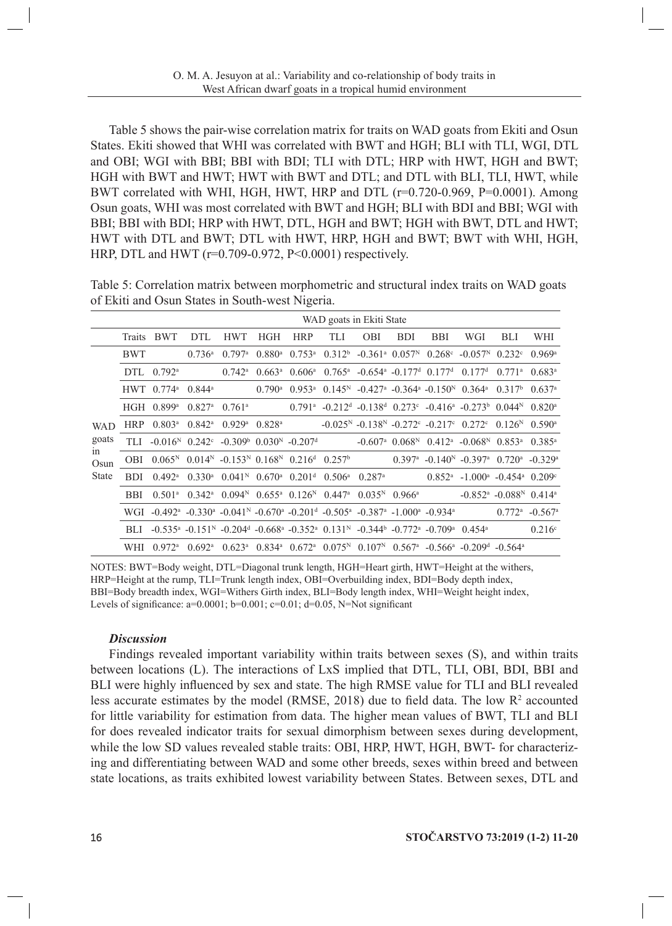Table 5 shows the pair-wise correlation matrix for traits on WAD goats from Ekiti and Osun States. Ekiti showed that WHI was correlated with BWT and HGH; BLI with TLI, WGI, DTL and OBI; WGI with BBI; BBI with BDI; TLI with DTL; HRP with HWT, HGH and BWT; HGH with BWT and HWT; HWT with BWT and DTL; and DTL with BLI, TLI, HWT, while BWT correlated with WHI, HGH, HWT, HRP and DTL (r=0.720-0.969, P=0.0001). Among Osun goats, WHI was most correlated with BWT and HGH; BLI with BDI and BBI; WGI with BBI; BBI with BDI; HRP with HWT, DTL, HGH and BWT; HGH with BWT, DTL and HWT; HWT with DTL and BWT; DTL with HWT, HRP, HGH and BWT; BWT with WHI, HGH, HRP, DTL and HWT (r=0.709-0.972, P<0.0001) respectively.

Table 5: Correlation matrix between morphometric and structural index traits on WAD goats of Ekiti and Osun States in South-west Nigeria.

|              |               | WAD goats in Ekiti State                                                                                                                                                                |                                           |                                           |                      |                      |                                                                                                         |                                                                               |            |            |                                                                                                                                          |                                        |                      |
|--------------|---------------|-----------------------------------------------------------------------------------------------------------------------------------------------------------------------------------------|-------------------------------------------|-------------------------------------------|----------------------|----------------------|---------------------------------------------------------------------------------------------------------|-------------------------------------------------------------------------------|------------|------------|------------------------------------------------------------------------------------------------------------------------------------------|----------------------------------------|----------------------|
|              | <b>Traits</b> | BWT                                                                                                                                                                                     | DTL.                                      | <b>HWT</b>                                | <b>HGH</b>           | <b>HRP</b>           | TLI                                                                                                     | <b>OBI</b>                                                                    | <b>BDI</b> | <b>BBI</b> | WGI                                                                                                                                      | <b>BLI</b>                             | WHI                  |
| <b>WAD</b>   | BWT           |                                                                                                                                                                                         | $0.736^{\circ}$                           | $0.797$ <sup>a</sup>                      | $0.880^{\rm a}$      | $0.753^{\rm a}$      |                                                                                                         |                                                                               |            |            | $0.312^b$ -0.361 <sup>a</sup> 0.057 <sup>N</sup> 0.268 <sup>c</sup> -0.057 <sup>N</sup> 0.232 <sup>c</sup>                               |                                        | $0.969$ <sup>a</sup> |
|              | DTL.          | $0.792^{\rm a}$                                                                                                                                                                         |                                           | $0.742^{\rm a}$                           | $0.663^{\rm a}$      | $0.606^{\rm a}$      |                                                                                                         | $0.765^{\text{a}}$ -0.654 <sup>a</sup> -0.177 <sup>d</sup> 0.177 <sup>d</sup> |            |            | 0.177 <sup>d</sup>                                                                                                                       | $0.771$ <sup>a</sup>                   | $0.683^a$            |
|              |               | HWT $0.774$ <sup>a</sup> $0.844$ <sup>a</sup>                                                                                                                                           |                                           |                                           | $0.790$ <sup>a</sup> | $0.953$ <sup>a</sup> |                                                                                                         |                                                                               |            |            | $0.145^{\text{N}}$ -0.427 <sup>a</sup> -0.364 <sup>a</sup> -0.150 <sup>N</sup> 0.364 <sup>a</sup> 0.317 <sup>b</sup>                     |                                        | $0.637$ <sup>a</sup> |
|              |               | HGH $0.899$ <sup>a</sup>                                                                                                                                                                | $0.827$ <sup>a</sup> $0.761$ <sup>a</sup> |                                           |                      |                      |                                                                                                         |                                                                               |            |            | $0.791^{\text{a}}$ -0.212 <sup>d</sup> -0.138 <sup>d</sup> 0.273 <sup>c</sup> -0.416 <sup>a</sup> -0.273 <sup>b</sup> 0.044 <sup>N</sup> |                                        | $0.820$ <sup>a</sup> |
|              | HRP           | $0.803^{\rm a}$                                                                                                                                                                         | $0.842^{\circ}$                           | $0.929$ <sup>a</sup> $0.828$ <sup>a</sup> |                      |                      | $-0.025^{\rm N}$ $-0.138^{\rm N}$ $-0.272^{\rm c}$ $-0.217^{\rm c}$ $0.272^{\rm c}$                     |                                                                               |            |            |                                                                                                                                          | 0.126 <sup>N</sup>                     | $0.590^{\rm a}$      |
| goats        |               | TLI $-0.016^N$ $0.242^c$ $-0.309^b$ $0.030^N$ $-0.207^d$                                                                                                                                |                                           |                                           |                      |                      |                                                                                                         |                                                                               |            |            | $-0.607^{\text{a}}$ 0.068 <sup>N</sup> 0.412 <sup>a</sup> $-0.068^{\text{N}}$ 0.853 <sup>a</sup>                                         |                                        | $0.385^{\rm a}$      |
| 1n<br>Osun   | OBI           | $0.065^{\text{N}}$ 0.014 <sup>N</sup> -0.153 <sup>N</sup> 0.168 <sup>N</sup> 0.216 <sup>d</sup> 0.257 <sup>b</sup>                                                                      |                                           |                                           |                      |                      |                                                                                                         |                                                                               |            |            | $0.397^{\text{a}}$ -0.140 <sup>N</sup> -0.397 <sup>a</sup> 0.720 <sup>a</sup> -0.329 <sup>a</sup>                                        |                                        |                      |
| <b>State</b> | BDI.          | $0.492^{\rm a}$                                                                                                                                                                         | $0.330^{\rm a}$                           |                                           |                      |                      | $0.041^{\rm N}$ $0.670^{\rm a}$ $0.201^{\rm d}$ $0.506^{\rm a}$ $0.287^{\rm a}$                         |                                                                               |            |            | $0.852^a$ -1.000 <sup>a</sup> -0.454 <sup>a</sup> 0.209 <sup>c</sup>                                                                     |                                        |                      |
|              | BBI.          | 0.501 <sup>a</sup>                                                                                                                                                                      | $0.342^{\rm a}$                           |                                           |                      |                      | $0.094N$ 0.655 <sup>a</sup> 0.126 <sup>N</sup> 0.447 <sup>a</sup> 0.035 <sup>N</sup> 0.966 <sup>a</sup> |                                                                               |            |            | $-0.852$ <sup>a</sup> $-0.088$ <sup>N</sup> $0.414$ <sup>a</sup>                                                                         |                                        |                      |
|              |               | WGI -0.492 <sup>a</sup> -0.330 <sup>a</sup> -0.041 <sup>N</sup> -0.670 <sup>a</sup> -0.201 <sup>d</sup> -0.505 <sup>a</sup> -0.387 <sup>a</sup> -1.000 <sup>a</sup> -0.934 <sup>a</sup> |                                           |                                           |                      |                      |                                                                                                         |                                                                               |            |            |                                                                                                                                          | $0.772^{\text{a}}$ -0.567 <sup>a</sup> |                      |
|              | BLI           | $-0.535^a$ $-0.151^N$ $-0.204^d$ $-0.668^a$ $-0.352^a$ $0.131^N$ $-0.344^b$ $-0.772^a$ $-0.709^a$ $0.454^a$                                                                             |                                           |                                           |                      |                      |                                                                                                         |                                                                               |            |            |                                                                                                                                          |                                        | 0.216c               |
|              | WHI           | $0.972$ <sup>a</sup>                                                                                                                                                                    | $0.692^{\rm a}$                           |                                           |                      |                      |                                                                                                         |                                                                               |            |            | $0.623^a$ $0.834^a$ $0.672^a$ $0.075^N$ $0.107^N$ $0.567^a$ $-0.566^a$ $-0.209^d$ $-0.564^a$                                             |                                        |                      |

NOTES: BWT=Body weight, DTL=Diagonal trunk length, HGH=Heart girth, HWT=Height at the withers, HRP=Height at the rump, TLI=Trunk length index, OBI=Overbuilding index, BDI=Body depth index, BBI=Body breadth index, WGI=Withers Girth index, BLI=Body length index, WHI=Weight height index, Levels of significance:  $a=0.0001$ ;  $b=0.001$ ;  $c=0.01$ ;  $d=0.05$ , N=Not significant

#### *Discussion*

Findings revealed important variability within traits between sexes (S), and within traits between locations (L). The interactions of LxS implied that DTL, TLI, OBI, BDI, BBI and BLI were highly influenced by sex and state. The high RMSE value for TLI and BLI revealed less accurate estimates by the model (RMSE, 2018) due to field data. The low  $\mathbb{R}^2$  accounted for little variability for estimation from data. The higher mean values of BWT, TLI and BLI for does revealed indicator traits for sexual dimorphism between sexes during development, while the low SD values revealed stable traits: OBI, HRP, HWT, HGH, BWT- for characterizing and differentiating between WAD and some other breeds, sexes within breed and between state locations, as traits exhibited lowest variability between States. Between sexes, DTL and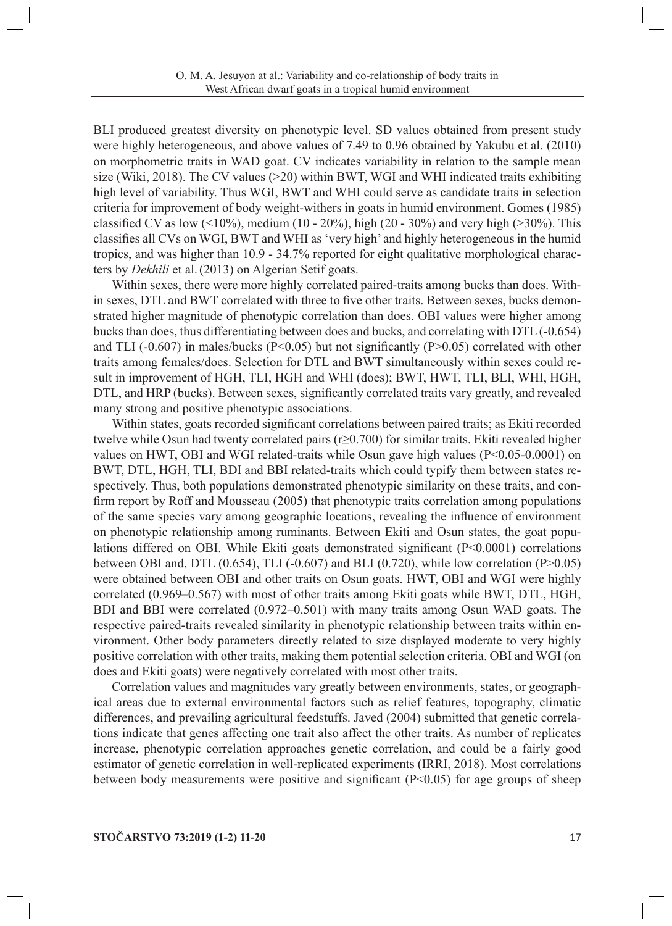BLI produced greatest diversity on phenotypic level. SD values obtained from present study were highly heterogeneous, and above values of 7.49 to 0.96 obtained by Yakubu et al. (2010) on morphometric traits in WAD goat. CV indicates variability in relation to the sample mean size (Wiki, 2018). The CV values  $(>=20)$  within BWT, WGI and WHI indicated traits exhibiting high level of variability. Thus WGI, BWT and WHI could serve as candidate traits in selection criteria for improvement of body weight-withers in goats in humid environment. Gomes (1985) classified CV as low  $(10\%)$ , medium  $(10 - 20\%)$ , high  $(20 - 30\%)$  and very high  $(20\%)$ . This classifies all CVs on WGI, BWT and WHI as 'very high' and highly heterogeneous in the humid tropics, and was higher than 10.9 - 34.7% reported for eight qualitative morphological characters by *Dekhili* et al.(2013) on Algerian Setif goats.

Within sexes, there were more highly correlated paired-traits among bucks than does. Within sexes, DTL and BWT correlated with three to five other traits. Between sexes, bucks demonstrated higher magnitude of phenotypic correlation than does. OBI values were higher among bucks than does, thus differentiating between does and bucks, and correlating with DTL (-0.654) and TLI (-0.607) in males/bucks (P<0.05) but not significantly (P>0.05) correlated with other traits among females/does. Selection for DTL and BWT simultaneously within sexes could result in improvement of HGH, TLI, HGH and WHI (does); BWT, HWT, TLI, BLI, WHI, HGH, DTL, and HRP (bucks). Between sexes, significantly correlated traits vary greatly, and revealed many strong and positive phenotypic associations.

Within states, goats recorded significant correlations between paired traits; as Ekiti recorded twelve while Osun had twenty correlated pairs (r≥0.700) for similar traits. Ekiti revealed higher values on HWT, OBI and WGI related-traits while Osun gave high values (P<0.05-0.0001) on BWT, DTL, HGH, TLI, BDI and BBI related-traits which could typify them between states respectively. Thus, both populations demonstrated phenotypic similarity on these traits, and confirm report by Roff and Mousseau (2005) that phenotypic traits correlation among populations of the same species vary among geographic locations, revealing the influence of environment on phenotypic relationship among ruminants. Between Ekiti and Osun states, the goat populations differed on OBI. While Ekiti goats demonstrated significant (P<0.0001) correlations between OBI and, DTL  $(0.654)$ , TLI  $(-0.607)$  and BLI  $(0.720)$ , while low correlation  $(P>0.05)$ were obtained between OBI and other traits on Osun goats. HWT, OBI and WGI were highly correlated (0.969–0.567) with most of other traits among Ekiti goats while BWT, DTL, HGH, BDI and BBI were correlated (0.972–0.501) with many traits among Osun WAD goats. The respective paired-traits revealed similarity in phenotypic relationship between traits within environment. Other body parameters directly related to size displayed moderate to very highly positive correlation with other traits, making them potential selection criteria. OBI and WGI (on does and Ekiti goats) were negatively correlated with most other traits.

Correlation values and magnitudes vary greatly between environments, states, or geographical areas due to external environmental factors such as relief features, topography, climatic differences, and prevailing agricultural feedstuffs. Javed (2004) submitted that genetic correlations indicate that genes affecting one trait also affect the other traits. As number of replicates increase, phenotypic correlation approaches genetic correlation, and could be a fairly good estimator of genetic correlation in well-replicated experiments (IRRI, 2018). Most correlations between body measurements were positive and significant  $(P<0.05)$  for age groups of sheep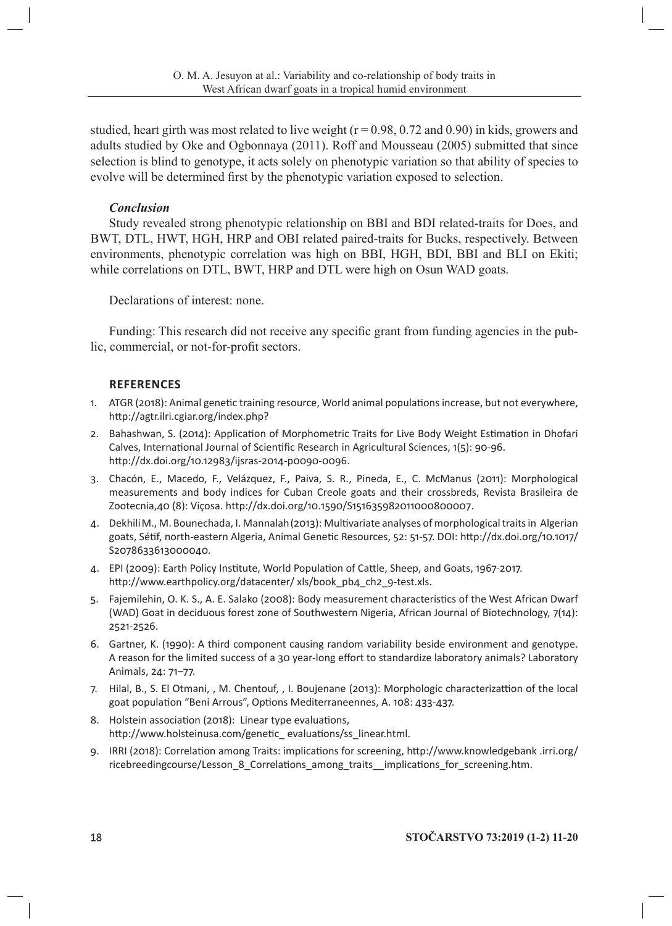studied, heart girth was most related to live weight ( $r = 0.98$ , 0.72 and 0.90) in kids, growers and adults studied by Oke and Ogbonnaya (2011). Roff and Mousseau (2005) submitted that since selection is blind to genotype, it acts solely on phenotypic variation so that ability of species to evolve will be determined first by the phenotypic variation exposed to selection.

## *Conclusion*

Study revealed strong phenotypic relationship on BBI and BDI related-traits for Does, and BWT, DTL, HWT, HGH, HRP and OBI related paired-traits for Bucks, respectively. Between environments, phenotypic correlation was high on BBI, HGH, BDI, BBI and BLI on Ekiti; while correlations on DTL, BWT, HRP and DTL were high on Osun WAD goats.

Declarations of interest: none.

Funding: This research did not receive any specific grant from funding agencies in the public, commercial, or not-for-profit sectors.

## **REFERENCES**

- 1. ATGR (2018): Animal genetic training resource, World animal populations increase, but not everywhere, http://agtr.ilri.cgiar.org/index.php?
- 2. Bahashwan, S. (2014): Application of Morphometric Traits for Live Body Weight Estimation in Dhofari Calves, International Journal of Scientific Research in Agricultural Sciences, 1(5): 90-96. http://dx.doi.org/10.12983/ijsras-2014-p0090-0096.
- 3. Chacón, E., Macedo, F., Velázquez, F., Paiva, S. R., Pineda, E., C. McManus (2011): Morphological measurements and body indices for Cuban Creole goats and their crossbreds, Revista Brasileira de Zootecnia,40 (8): Viçosa. http://dx.doi.org/10.1590/S151635982011000800007.
- 4. DekhiliM., M. Bounechada, I. Mannalah(2013): Multivariate analyses of morphological traits in Algerian goats, Sétif, north-eastern Algeria, Animal Genetic Resources, 52: 51-57. DOI: http://dx.doi.org/10.1017/ S2078633613000040.
- 4. EPI (2009): Earth Policy Institute, World Population of Cattle, Sheep, and Goats, 1967-2017. http://www.earthpolicy.org/datacenter/ xls/book\_pb4\_ch2\_9-test.xls.
- 5. Fajemilehin, O. K. S., A. E. Salako (2008): Body measurement characteristics of the West African Dwarf (WAD) Goat in deciduous forest zone of Southwestern Nigeria, African Journal of Biotechnology, 7(14): 2521-2526.
- 6. Gartner, K. (1990): A third component causing random variability beside environment and genotype. A reason for the limited success of a 30 year-long effort to standardize laboratory animals? Laboratory Animals, 24: 71–77.
- 7. Hilal, B., S. El Otmani, , M. Chentouf, , I. Boujenane (2013): Morphologic characterizattion of the local goat population "Beni Arrous", Options Mediterraneennes, A. 108: 433-437.
- 8. Holstein association (2018): Linear type evaluations, http://www.holsteinusa.com/genetic\_ evaluations/ss\_linear.html.
- 9. IRRI (2018): Correlation among Traits: implications for screening, http://www.knowledgebank .irri.org/ ricebreedingcourse/Lesson\_8\_Correlations\_among\_traits\_\_implications\_for\_screening.htm.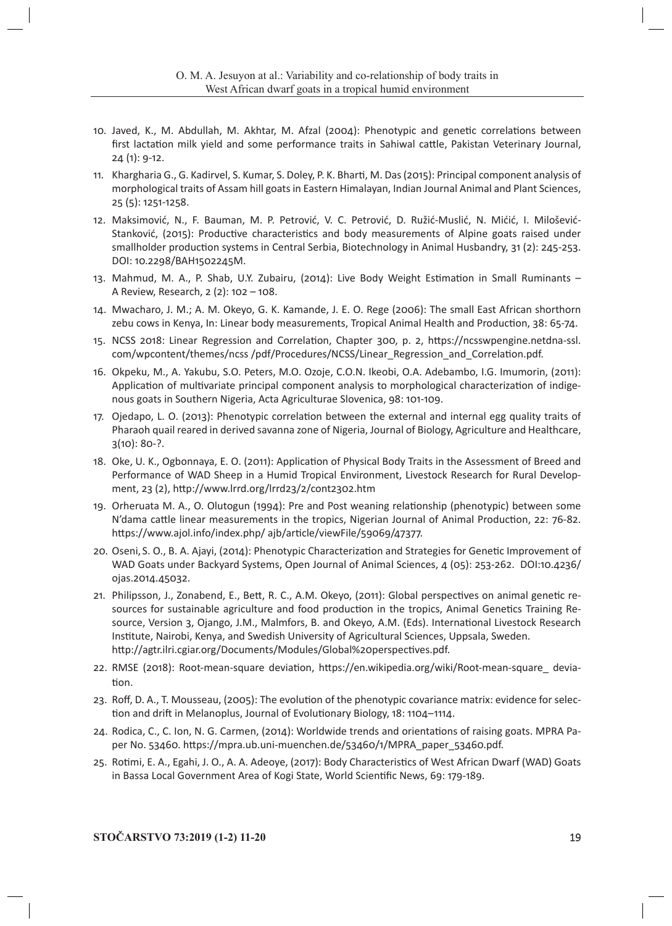- 10. Javed, K., M. Abdullah, M. Akhtar, M. Afzal (2004): Phenotypic and genetic correlations between first lactation milk yield and some performance traits in Sahiwal cattle, Pakistan Veterinary Journal, 24 (1): 9-12.
- 11. Khargharia G., G. Kadirvel, S. Kumar, S. Doley, P. K. Bharti, M. Das (2015): Principal component analysis of morphological traits of Assam hill goats in Eastern Himalayan, Indian Journal Animal and Plant Sciences, 25 (5): 1251-1258.
- 12. Maksimović, N., F. Bauman, M. P. Petrović, V. C. Petrović, D. Ružić-Muslić, N. Mićić, I. Milošević-Stanković, (2015): Productive characteristics and body measurements of Alpine goats raised under smallholder production systems in Central Serbia, Biotechnology in Animal Husbandry, 31 (2): 245-253. DOI: 10.2298/BAH1502245M.
- 13. Mahmud, M. A., P. Shab, U.Y. Zubairu, (2014): Live Body Weight Estimation in Small Ruminants A Review, Research, 2 (2): 102 – 108.
- 14. Mwacharo, J. M.; A. M. Okeyo, G. K. Kamande, J. E. O. Rege (2006): The small East African shorthorn zebu cows in Kenya, In: Linear body measurements, Tropical Animal Health and Production, 38: 65-74.
- 15. NCSS 2018: Linear Regression and Correlation, Chapter 300, p. 2, https://ncsswpengine.netdna-ssl. com/wpcontent/themes/ncss /pdf/Procedures/NCSS/Linear\_Regression\_and\_Correlation.pdf.
- 16. Okpeku, M., A. Yakubu, S.O. Peters, M.O. Ozoje, C.O.N. Ikeobi, O.A. Adebambo, I.G. Imumorin, (2011): Application of multivariate principal component analysis to morphological characterization of indigenous goats in Southern Nigeria, Acta Agriculturae Slovenica, 98: 101-109.
- 17. Ojedapo, L. O. (2013): Phenotypic correlation between the external and internal egg quality traits of Pharaoh quail reared in derived savanna zone of Nigeria, Journal of Biology, Agriculture and Healthcare, 3(10): 80-?.
- 18. Oke, U. K., Ogbonnaya, E. O. (2011): Application of Physical Body Traits in the Assessment of Breed and Performance of WAD Sheep in a Humid Tropical Environment, Livestock Research for Rural Development, 23 (2), http://www.lrrd.org/lrrd23/2/cont2302.htm
- 19. Orheruata M. A., O. Olutogun (1994): Pre and Post weaning relationship (phenotypic) between some N'dama cattle linear measurements in the tropics, Nigerian Journal of Animal Production, 22: 76-82. https://www.ajol.info/index.php/ ajb/article/viewFile/59069/47377.
- 20. Oseni, S. O., B. A. Ajayi, (2014): Phenotypic Characterization and Strategies for Genetic Improvement of WAD Goats under Backyard Systems, Open Journal of Animal Sciences, 4 (05): 253-262. DOI:10.4236/ ojas.2014.45032.
- 21. Philipsson, J., Zonabend, E., Bett, R. C., A.M. Okeyo, (2011): Global perspectives on animal genetic resources for sustainable agriculture and food production in the tropics, Animal Genetics Training Resource, Version 3, Ojango, J.M., Malmfors, B. and Okeyo, A.M. (Eds). International Livestock Research Institute, Nairobi, Kenya, and Swedish University of Agricultural Sciences, Uppsala, Sweden. http://agtr.ilri.cgiar.org/Documents/Modules/Global%20perspectives.pdf.
- 22. RMSE (2018): Root-mean-square deviation, https://en.wikipedia.org/wiki/Root-mean-square\_ deviation.
- 23. Roff, D. A., T. Mousseau, (2005): The evolution of the phenotypic covariance matrix: evidence for selection and drift in Melanoplus, Journal of Evolutionary Biology, 18: 1104–1114.
- 24. Rodica, C., C. Ion, N. G. Carmen, (2014): Worldwide trends and orientations of raising goats. MPRA Paper No. 53460. https://mpra.ub.uni-muenchen.de/53460/1/MPRA\_paper\_53460.pdf.
- 25. Rotimi, E. A., Egahi, J. O., A. A. Adeoye, (2017): Body Characteristics of West African Dwarf (WAD) Goats in Bassa Local Government Area of Kogi State, World Scientific News, 69: 179-189.